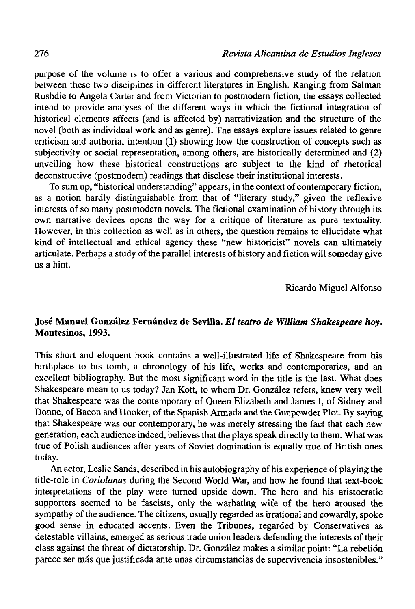purpose of the volume is to offer a various and comprehensive study of the relation between these two disciplines in different literaturas in English. Ranging from Salman Rushdie to Angela Cárter and from Victorian to postmodern fiction, the essays collected intend to provide analyses of the different ways in which the fictional integration of historical elements affects (and is affected by) narrativization and the structure of the novel (both as individual work and as genre). The essays explore issues related to genre criticism and authorial intention (1) showing how the construction of concepts such as subjectivity or social representation, among others, are historically determined and  $(2)$ unveiling how these historical constructions are subject to the kind of rhetorical deconstructive (postmodern) readings that disclose their institutional interests.

To sum up, "historical understanding" appears, in the context of contemporary fiction, as a notion hardly distinguishable from that of "literary study," given the reflexive interests of so many postmodern novels. The fictional examination of history through its own narrative devices opens the way for a critique of literature as puré textuality. However, in this collection as well as in others, the question remains to ellucidate what kind of intellectual and ethical agency these "new historicist" novels can ultimately articúlate. Perhaps a study of the parallel interests of history and fiction will someday give us a hint.

Ricardo Miguel Alfonso

## **José Manuel González Fernández de Sevilla.** *El teatro de William Shakespeare hoy.*  **Montesinos, 1993.**

This short and eloquent book contains a well-illustrated life of Shakespeare from his birthplace to his tomb, a chronology of his life, works and contemporaries, and an excellent bibliography. But the most significant word in the title is the last. What does Shakespeare mean to us today? Jan Kott, to whom Dr. González refers, knew very well that Shakespeare was the contemporary of Queen Elizabeth and James I, of Sidney and Donne, of Bacon and Hooker, of the Spanish Armada and the Gunpowder Plot. By saying that Shakespeare was our contemporary, he was merely stressing the fact that each new generation, each audience indeed, believes that the plays speak directly to them. What was true of Polish audiences after years of Soviet domination is equally true of British ones today.

An actor, Leslie Sands, described in his autobiography of his experience of playing the title-role in *Coriolanus* during the Second World War, and how he found that text-book interpretations of the play were turned upside down. The hero and his aristocratic supporters seemed to be fascists, only the warhating wife of the hero aroused the sympathy of the audience. The citizens, usually regarded as irrational and cowardly, spoke good sense in educated accents. Even the Tribunes, regarded by Conservatives as detestable villains, emerged as serious trade union leaders defending the interests of their class against the threat of dictatorship. Dr. González makes a similar point: "La rebelión parece ser más que justificada ante unas circumstancias de supervivencia insostenibles."